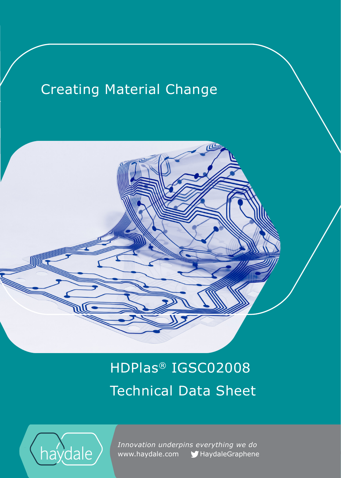## Creating Material Change

# HDPlas® IGSC02008 Technical Data Sheet



IIIC

 *Innovation underpins everything we do*  www.haydale.com MaydaleGraphene